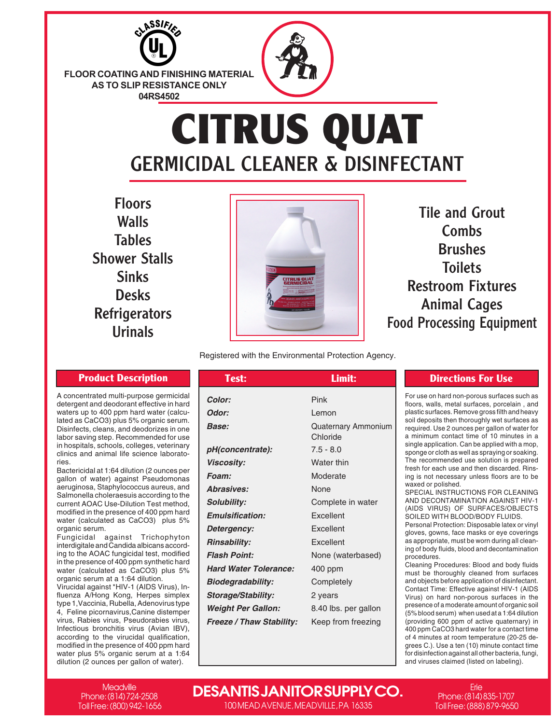

**FLOOR COATING AND FINISHING MATERIAL AS TO SLIP RESISTANCE ONLY 04RS4502**

## **CITRUS QUAT** GERMICIDAL CLEANER & DISINFECTANT

Floors **Walls** Tables Shower Stalls Sinks Desks **Refrigerators** Urinals

A concentrated multi-purpose germicidal detergent and deodorant effective in hard waters up to 400 ppm hard water (calculated as CaCO3) plus 5% organic serum. Disinfects, cleans, and deodorizes in one labor saving step. Recommended for use in hospitals, schools, colleges, veterinary clinics and animal life science laborato-

Bactericidal at 1:64 dilution (2 ounces per gallon of water) against Pseudomonas aeruginosa, Staphylococcus aureus, and Salmonella choleraesuis according to the current AOAC Use-Dilution Test method, modified in the presence of 400 ppm hard water (calculated as CaCO3) plus 5%

Fungicidal against Trichophyton interdigitale and Candida albicans according to the AOAC fungicidal test, modified in the presence of 400 ppm synthetic hard water (calculated as CaCO3) plus 5% organic serum at a 1:64 dilution. Virucidal against \*HIV-1 (AIDS Virus), Influenza A/Hong Kong, Herpes simplex type 1,Vaccinia, Rubella, Adenovirus type 4, Feline picornavirus,Canine distemper virus, Rabies virus, Pseudorabies virus, Infectious bronchitis virus (Avian IBV), according to the virucidal qualification, modified in the presence of 400 ppm hard water plus 5% organic serum at a 1:64 dilution (2 ounces per gallon of water).

ries.

organic serum.



Tile and Grout Combs Brushes **Toilets** Restroom Fixtures Animal Cages Food Processing Equipment

Registered with the Environmental Protection Agency.

| <b>Product Description</b>                                                                                    | Test:                           | Limit:               | <b>Directions For Use</b>                                                        |
|---------------------------------------------------------------------------------------------------------------|---------------------------------|----------------------|----------------------------------------------------------------------------------|
| entrated multi-purpose germicidal<br>ent and deodorant effective in hard                                      | Color:                          | <b>Pink</b>          | For use on hard non-porous surfaces<br>floors, walls, metal surfaces, porcel     |
| up to 400 ppm hard water (calcu-                                                                              | Odor:                           | Lemon                | plastic surfaces. Remove gross filth a                                           |
| is CaCO3) plus 5% organic serum.<br>ects, cleans, and deodorizes in one                                       | Base:                           | Quaternary Ammonium  | soil deposits then thoroughly wet sur<br>required. Use 2 ounces per gallon of    |
| aving step. Recommended for use<br>pitals, schools, colleges, veterinary<br>and animal life science laborato- |                                 | Chloride             | a minimum contact time of 10 minu                                                |
|                                                                                                               | pH(concentrate):                | $7.5 - 8.0$          | single application. Can be applied wit<br>sponge or cloth as well as spraying or |
|                                                                                                               | <b>Viscosity:</b>               | Water thin           | The recommended use solution is a<br>fresh for each use and then discard         |
| icidal at 1:64 dilution (2 ounces per<br>of water) against Pseudomonas                                        | Foam:                           | Moderate             | ing is not necessary unless floors a                                             |
| nosa, Staphylococcus aureus, and                                                                              | Abrasives:                      | None                 | waxed or polished.<br>SPECIAL INSTRUCTIONS FOR CL                                |
| nella choleraesuis according to the<br>t AOAC Use-Dilution Test method,                                       | <b>Solubility:</b>              | Complete in water    | AND DECONTAMINATION AGAINS                                                       |
| ed in the presence of 400 ppm hard<br>(calculated as CaCO3) plus 5%                                           | <b>Emulsification:</b>          | Excellent            | (AIDS VIRUS) OF SURFACES/O<br>SOILED WITH BLOOD/BODY FLUII                       |
| c serum.                                                                                                      | Detergency:                     | Excellent            | Personal Protection: Disposable late<br>gloves, gowns, face masks or eye c       |
| cidal against Trichophyton<br>gitale and Candida albicans accord-                                             | <b>Rinsability:</b>             | Excellent            | as appropriate, must be worn during                                              |
| the AOAC fungicidal test, modified                                                                            | <b>Flash Point:</b>             | None (waterbased)    | ing of body fluids, blood and deconta<br>procedures.                             |
| presence of 400 ppm synthetic hard<br>(calculated as CaCO3) plus 5%                                           | <b>Hard Water Tolerance:</b>    | 400 ppm              | Cleaning Procedures: Blood and bo<br>must be thoroughly cleaned from             |
| c serum at a 1:64 dilution.<br>dal against *HIV-1 (AIDS Virus), In-                                           | <b>Biodegradability:</b>        | Completely           | and objects before application of disi                                           |
| a A/Hong Kong, Herpes simplex                                                                                 | <b>Storage/Stability:</b>       | 2 years              | Contact Time: Effective against HIV<br>Virus) on hard non-porous surface         |
| Vaccinia, Rubella, Adenovirus type<br>ine picornavirus,Canine distemper                                       | <b>Weight Per Gallon:</b>       | 8.40 lbs. per gallon | presence of a moderate amount of org<br>(5% blood serum) when used at a 1:6      |
| Rabies virus, Pseudorabies virus,<br>ous bronchitis virus (Avian IRV)                                         | <b>Freeze / Thaw Stability:</b> | Keep from freezing   | (providing 600 ppm of active quate<br>100 npm CoCO2 hard water for a con         |

For use on hard non-porous surfaces such as floors, walls, metal surfaces, porcelain , and plastic surfaces. Remove gross filth and heavy soil deposits then thoroughly wet surfaces as required. Use 2 ounces per gallon of water for a minimum contact time of 10 minutes in a single application. Can be applied with a mop, sponge or cloth as well as spraying or soaking. The recommended use solution is prepared fresh for each use and then discarded. Rinsing is not necessary unless floors are to be waxed or polished. SPECIAL INSTRUCTIONS FOR CLEANING

AND DECONTAMINATION AGAINST HIV-1 (AIDS VIRUS) OF SURFACES/OBJECTS SOILED WITH BLOOD/BODY FLUIDS.

Personal Protection: Disposable latex or vinyl gloves, gowns, face masks or eye coverings as appropriate, must be worn during all cleaning of body fluids, blood and decontamination procedures.

Cleaning Procedures: Blood and body fluids must be thoroughly cleaned from surfaces and objects before application of disinfectant. Contact Time: Effective against HIV-1 (AIDS Virus) on hard non-porous surfaces in the presence of a moderate amount of organic soil (5% blood serum) when used at a 1:64 dilution (providing 600 ppm of active quaternary) in 400 ppm CaCO3 hard water for a contact time of 4 minutes at room temperature (20-25 degrees C.). Use a ten (10) minute contact time for disinfection against all other bacteria, fungi, and viruses claimed (listed on labeling).

**Meadville** Phone: (814) 724-2508 Toll Free: (800) 942-1656

## **DESANTIS JANITOR SUPPLY CO.**

100 MEAD AVENUE, MEADVILLE, PA 16335

Erie Phone: (814) 835-1707 Toll Free: (888) 879-9650